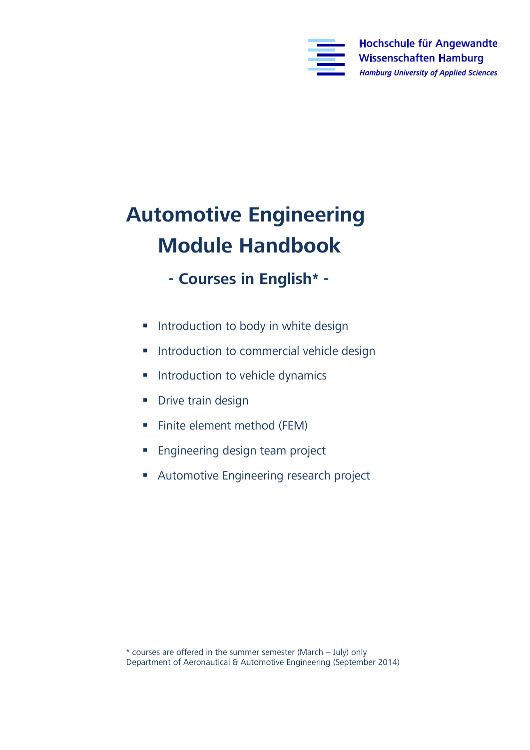

## **Automotive Engineering**

- **Module Handbook - Courses in English\* -**
	- **Introduction to body in white design**
	- **Introduction to commercial vehicle design**
	- **Introduction to vehicle dynamics**
	- Drive train design
	- **Finite element method (FEM)**
	- **Engineering design team project**
	- **Automotive Engineering research project**

Department of Aeronautical & Automotive Engineering (Septemb Department of Aeronautical & Automotive Engineering (September 2014)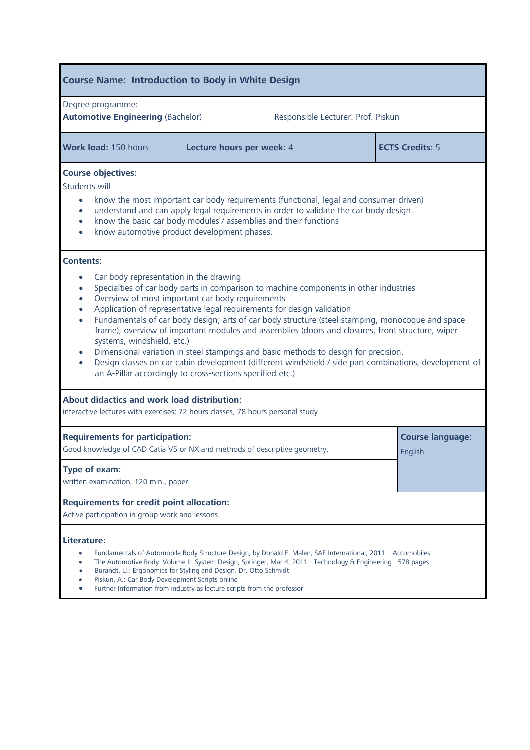## **Course Name: Introduction to Body in White Design** Degree programme:<br>**Automotive Engineering** (Bachelor) **Automotive Engineering** (Bachelor) Responsible Lecturer: Prof. Piskun **Work load:** 150 hours **Lecture hours per week:** 4 **ECTS Credits:** 5 **Course objectives:** If the consumer-driven<br>
Indept and can apply legal requirements in order to validate the car body design understand and can apply legal requirements in order to validate the car body design. • know the basic car body modules / assemblies and their functions • know automotive product development phases. • Car body representation in the drawing Specialties of car body parts in comparison to machine components in other industries Overview of most important car body requirements Application of representative legal requirements for design validation Fundamentals of car body design; arts of car body structure (steel-stamping, monocoque and space systems, windshield, etc.) **Systems, innumies, etc.**)<br> **Example 3** Dimensional variation in steel stampings and basic methods to design for precision.<br> **Pasico classes on car cabin development (different windshield**) side part combination Design classes on car cabin development (different windshield / side part combinations, development of an A-Pillar accordingly to cross-sections specified etc.) **Aboution**<br> **Aboution**<br> **Aboution:**<br> **Aboution:**<br> **Aboution:** interactive lectures with exercises; 72 hours classes, 78 hours personal study **Requirements for participation: Course language:** Good knowledge of CAD Catia V5 or NX and methods of descriptive geometry. English **T** written examination, 120 min., paper **Requirements for credit point allocation:**<br>Active participation in group work and lessons Active participation in group work and lessons Literature: **Literature:**<br> **Eundamentals of Automobile Body Structure Design, by Donald E. Malen, SAE International, 2011 – Automobiles<br>
The Automotive Body: Volume II: System Design, Springer, Mar 4, 2011 - Technology & Engineering -** The Automotive Body: Volume II: System Design, Springer, Mar 4, 2011 - Technology & Engineering - 578 pages Burandt, U.: Ergonomics for Styling and Design. Dr. Otto Schmidt Piskun, A.: Car Body Development Scripts online Further Information from industry as lecture scripts from the professor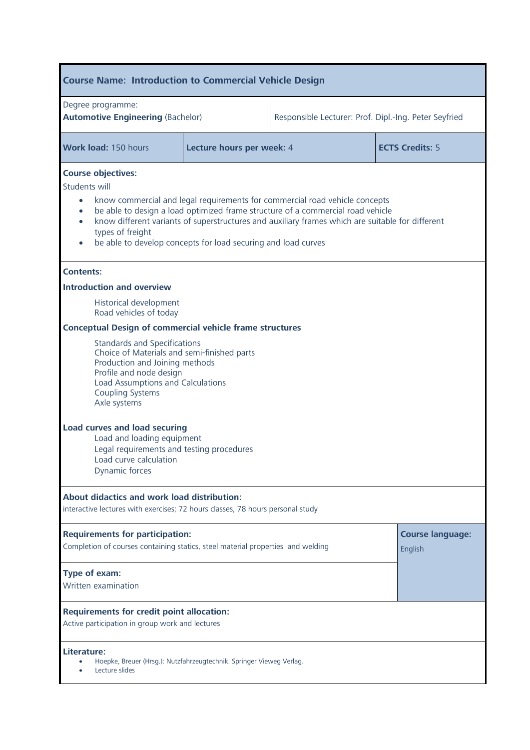| <b>Course Name: Introduction to Commercial Vehicle Design</b>                                                                                                                                                                                                                                                                                                                                                                                |                           |                                                       |                        |  |
|----------------------------------------------------------------------------------------------------------------------------------------------------------------------------------------------------------------------------------------------------------------------------------------------------------------------------------------------------------------------------------------------------------------------------------------------|---------------------------|-------------------------------------------------------|------------------------|--|
| Degree programme:<br><b>Automotive Engineering (Bachelor)</b>                                                                                                                                                                                                                                                                                                                                                                                |                           | Responsible Lecturer: Prof. Dipl.-Ing. Peter Seyfried |                        |  |
| Work load: 150 hours                                                                                                                                                                                                                                                                                                                                                                                                                         | Lecture hours per week: 4 |                                                       | <b>ECTS Credits: 5</b> |  |
| <b>Course objectives:</b><br>Students will<br>know commercial and legal requirements for commercial road vehicle concepts<br>$\bullet$<br>be able to design a load optimized frame structure of a commercial road vehicle<br>$\bullet$<br>know different variants of superstructures and auxiliary frames which are suitable for different<br>$\bullet$<br>types of freight<br>be able to develop concepts for load securing and load curves |                           |                                                       |                        |  |
| <b>Contents:</b>                                                                                                                                                                                                                                                                                                                                                                                                                             |                           |                                                       |                        |  |
| <b>Introduction and overview</b>                                                                                                                                                                                                                                                                                                                                                                                                             |                           |                                                       |                        |  |
| Historical development<br>Road vehicles of today                                                                                                                                                                                                                                                                                                                                                                                             |                           |                                                       |                        |  |
| <b>Conceptual Design of commercial vehicle frame structures</b>                                                                                                                                                                                                                                                                                                                                                                              |                           |                                                       |                        |  |
| <b>Standards and Specifications</b><br>Choice of Materials and semi-finished parts<br>Production and Joining methods<br>Profile and node design<br>Load Assumptions and Calculations<br><b>Coupling Systems</b><br>Axle systems                                                                                                                                                                                                              |                           |                                                       |                        |  |
| <b>Load curves and load securing</b><br>Load and loading equipment<br>Legal requirements and testing procedures<br>Load curve calculation<br>Dynamic forces                                                                                                                                                                                                                                                                                  |                           |                                                       |                        |  |
| <b>About didactics and work load distribution:</b><br>interactive lectures with exercises; 72 hours classes, 78 hours personal study                                                                                                                                                                                                                                                                                                         |                           |                                                       |                        |  |
| <b>Requirements for participation:</b><br>Completion of courses containing statics, steel material properties and welding                                                                                                                                                                                                                                                                                                                    |                           | <b>Course language:</b><br>English                    |                        |  |
| Type of exam:<br>Written examination                                                                                                                                                                                                                                                                                                                                                                                                         |                           |                                                       |                        |  |
| <b>Requirements for credit point allocation:</b><br>Active participation in group work and lectures                                                                                                                                                                                                                                                                                                                                          |                           |                                                       |                        |  |
| Literature:<br>Hoepke, Breuer (Hrsg.): Nutzfahrzeugtechnik. Springer Vieweg Verlag.<br>Lecture slides                                                                                                                                                                                                                                                                                                                                        |                           |                                                       |                        |  |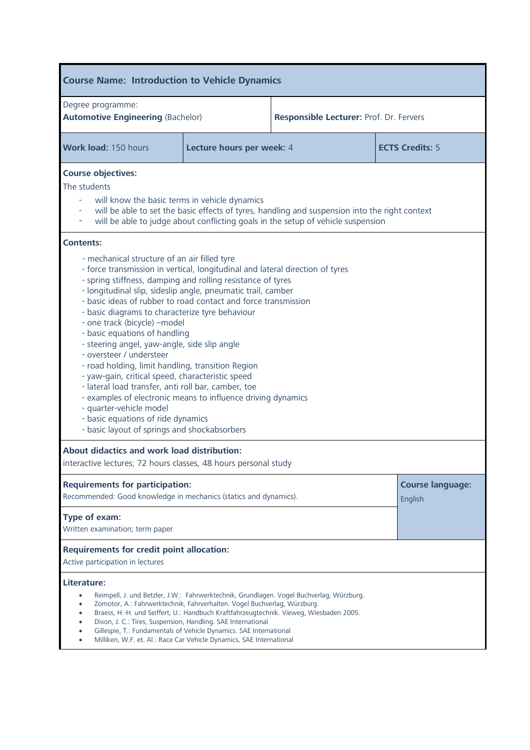| <b>Course Name: Introduction to Vehicle Dynamics</b>                                                                                                                                                                                                                                                                                                                                                                                                                                                                                                                                                                                                                                                                                                                                                                                                                                                 |                           |                                                                                                                                                                                    |                                    |  |
|------------------------------------------------------------------------------------------------------------------------------------------------------------------------------------------------------------------------------------------------------------------------------------------------------------------------------------------------------------------------------------------------------------------------------------------------------------------------------------------------------------------------------------------------------------------------------------------------------------------------------------------------------------------------------------------------------------------------------------------------------------------------------------------------------------------------------------------------------------------------------------------------------|---------------------------|------------------------------------------------------------------------------------------------------------------------------------------------------------------------------------|------------------------------------|--|
| Degree programme:<br><b>Automotive Engineering (Bachelor)</b>                                                                                                                                                                                                                                                                                                                                                                                                                                                                                                                                                                                                                                                                                                                                                                                                                                        |                           | Responsible Lecturer: Prof. Dr. Fervers                                                                                                                                            |                                    |  |
| Work load: 150 hours                                                                                                                                                                                                                                                                                                                                                                                                                                                                                                                                                                                                                                                                                                                                                                                                                                                                                 | Lecture hours per week: 4 |                                                                                                                                                                                    | <b>ECTS Credits: 5</b>             |  |
| <b>Course objectives:</b><br>The students<br>will know the basic terms in vehicle dynamics<br>will be able to set the basic effects of tyres, handling and suspension into the right context<br>will be able to judge about conflicting goals in the setup of vehicle suspension<br>۰                                                                                                                                                                                                                                                                                                                                                                                                                                                                                                                                                                                                                |                           |                                                                                                                                                                                    |                                    |  |
| <b>Contents:</b><br>- mechanical structure of an air filled tyre<br>- force transmission in vertical, longitudinal and lateral direction of tyres<br>- spring stiffness, damping and rolling resistance of tyres<br>- longitudinal slip, sideslip angle, pneumatic trail, camber<br>- basic ideas of rubber to road contact and force transmission<br>- basic diagrams to characterize tyre behaviour<br>- one track (bicycle) - model<br>- basic equations of handling<br>- steering angel, yaw-angle, side slip angle<br>- oversteer / understeer<br>- road holding, limit handling, transition Region<br>- yaw-gain, critical speed, characteristic speed<br>- lateral load transfer, anti roll bar, camber, toe<br>- examples of electronic means to influence driving dynamics<br>- quarter-vehicle model<br>- basic equations of ride dynamics<br>- basic layout of springs and shockabsorbers |                           |                                                                                                                                                                                    |                                    |  |
| About didactics and work load distribution:<br>interactive lectures; 72 hours classes, 48 hours personal study                                                                                                                                                                                                                                                                                                                                                                                                                                                                                                                                                                                                                                                                                                                                                                                       |                           |                                                                                                                                                                                    |                                    |  |
| <b>Requirements for participation:</b><br>Recommended: Good knowledge in mechanics (statics and dynamics).                                                                                                                                                                                                                                                                                                                                                                                                                                                                                                                                                                                                                                                                                                                                                                                           |                           |                                                                                                                                                                                    | <b>Course language:</b><br>English |  |
| Type of exam:<br>Written examination; term paper                                                                                                                                                                                                                                                                                                                                                                                                                                                                                                                                                                                                                                                                                                                                                                                                                                                     |                           |                                                                                                                                                                                    |                                    |  |
| <b>Requirements for credit point allocation:</b><br>Active participation in lectures                                                                                                                                                                                                                                                                                                                                                                                                                                                                                                                                                                                                                                                                                                                                                                                                                 |                           |                                                                                                                                                                                    |                                    |  |
| Literature:<br>٠<br>Zomotor, A.: Fahrwerktechnik, Fahrverhalten. Vogel Buchverlag, Würzburg.<br>$\bullet$<br>Dixon, J. C.: Tires, Suspension, Handling. SAE International<br>$\bullet$<br>Gillespie, T.: Fundamentals of Vehicle Dynamics. SAE International<br>Milliken, W.F. et. Al.: Race Car Vehicle Dynamics, SAE International                                                                                                                                                                                                                                                                                                                                                                                                                                                                                                                                                                 |                           | Reimpell, J. und Betzler, J.W.: Fahrwerktechnik, Grundlagen. Vogel Buchverlag, Würzburg.<br>Braess, H.-H. und Seiffert, U.: Handbuch Kraftfahrzeugtechnik. Vieweg, Wiesbaden 2005. |                                    |  |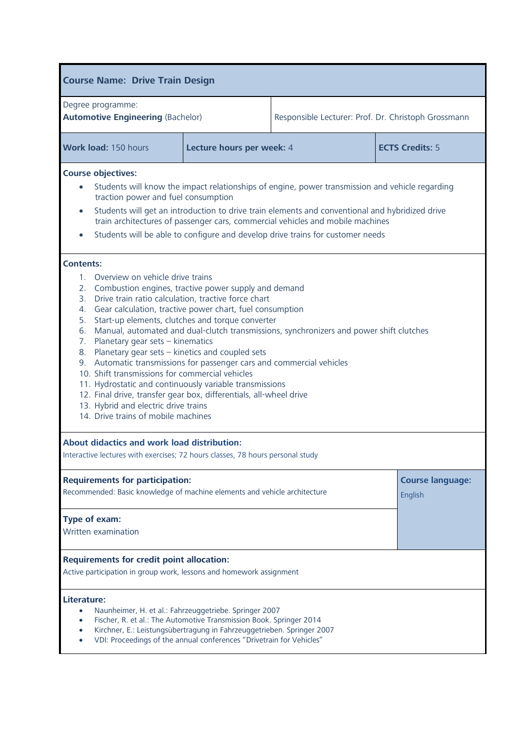| <b>Course Name: Drive Train Design</b>                                                                                                                                                                                                                                                                                                                                                                                                                                                                                                                                                                                                                                                                                                                                                                                                          |                                                     |                                                     |  |  |
|-------------------------------------------------------------------------------------------------------------------------------------------------------------------------------------------------------------------------------------------------------------------------------------------------------------------------------------------------------------------------------------------------------------------------------------------------------------------------------------------------------------------------------------------------------------------------------------------------------------------------------------------------------------------------------------------------------------------------------------------------------------------------------------------------------------------------------------------------|-----------------------------------------------------|-----------------------------------------------------|--|--|
| Degree programme:<br><b>Automotive Engineering (Bachelor)</b>                                                                                                                                                                                                                                                                                                                                                                                                                                                                                                                                                                                                                                                                                                                                                                                   |                                                     | Responsible Lecturer: Prof. Dr. Christoph Grossmann |  |  |
| Work load: 150 hours                                                                                                                                                                                                                                                                                                                                                                                                                                                                                                                                                                                                                                                                                                                                                                                                                            | Lecture hours per week: 4<br><b>ECTS Credits: 5</b> |                                                     |  |  |
| <b>Course objectives:</b><br>Students will know the impact relationships of engine, power transmission and vehicle regarding<br>$\bullet$<br>traction power and fuel consumption<br>Students will get an introduction to drive train elements and conventional and hybridized drive<br>$\bullet$<br>train architectures of passenger cars, commercial vehicles and mobile machines<br>Students will be able to configure and develop drive trains for customer needs<br>$\bullet$                                                                                                                                                                                                                                                                                                                                                               |                                                     |                                                     |  |  |
| <b>Contents:</b><br>1. Overview on vehicle drive trains<br>2. Combustion engines, tractive power supply and demand<br>3. Drive train ratio calculation, tractive force chart<br>4. Gear calculation, tractive power chart, fuel consumption<br>Start-up elements, clutches and torque converter<br>5.<br>Manual, automated and dual-clutch transmissions, synchronizers and power shift clutches<br>6.<br>7. Planetary gear sets - kinematics<br>8. Planetary gear sets - kinetics and coupled sets<br>9. Automatic transmissions for passenger cars and commercial vehicles<br>10. Shift transmissions for commercial vehicles<br>11. Hydrostatic and continuously variable transmissions<br>12. Final drive, transfer gear box, differentials, all-wheel drive<br>13. Hybrid and electric drive trains<br>14. Drive trains of mobile machines |                                                     |                                                     |  |  |
| About didactics and work load distribution:<br>Interactive lectures with exercises; 72 hours classes, 78 hours personal study                                                                                                                                                                                                                                                                                                                                                                                                                                                                                                                                                                                                                                                                                                                   |                                                     |                                                     |  |  |
| <b>Requirements for participation:</b><br>Recommended: Basic knowledge of machine elements and vehicle architecture                                                                                                                                                                                                                                                                                                                                                                                                                                                                                                                                                                                                                                                                                                                             |                                                     | <b>Course language:</b><br>English                  |  |  |
| Type of exam:<br>Written examination                                                                                                                                                                                                                                                                                                                                                                                                                                                                                                                                                                                                                                                                                                                                                                                                            |                                                     |                                                     |  |  |
| <b>Requirements for credit point allocation:</b><br>Active participation in group work, lessons and homework assignment                                                                                                                                                                                                                                                                                                                                                                                                                                                                                                                                                                                                                                                                                                                         |                                                     |                                                     |  |  |
| Literature:<br>Naunheimer, H. et al.: Fahrzeuggetriebe. Springer 2007<br>Fischer, R. et al.: The Automotive Transmission Book. Springer 2014<br>$\bullet$<br>Kirchner, E.: Leistungsübertragung in Fahrzeuggetrieben. Springer 2007<br>$\bullet$<br>VDI: Proceedings of the annual conferences "Drivetrain for Vehicles"                                                                                                                                                                                                                                                                                                                                                                                                                                                                                                                        |                                                     |                                                     |  |  |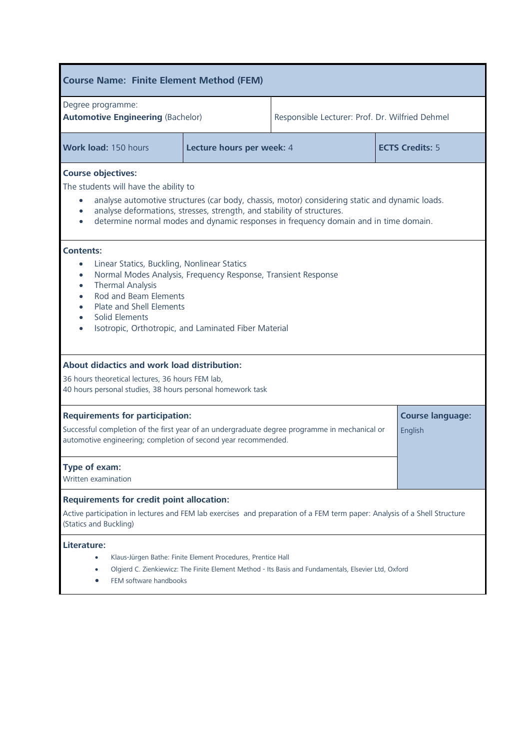| <b>Course Name: Finite Element Method (FEM)</b>                                                                                                                                                                                                                                                                                        |                           |                                                 |                        |  |
|----------------------------------------------------------------------------------------------------------------------------------------------------------------------------------------------------------------------------------------------------------------------------------------------------------------------------------------|---------------------------|-------------------------------------------------|------------------------|--|
| Degree programme:<br><b>Automotive Engineering (Bachelor)</b>                                                                                                                                                                                                                                                                          |                           | Responsible Lecturer: Prof. Dr. Wilfried Dehmel |                        |  |
| <b>Work load: 150 hours</b>                                                                                                                                                                                                                                                                                                            | Lecture hours per week: 4 |                                                 | <b>ECTS Credits: 5</b> |  |
| <b>Course objectives:</b><br>The students will have the ability to<br>analyse automotive structures (car body, chassis, motor) considering static and dynamic loads.<br>analyse deformations, stresses, strength, and stability of structures.<br>determine normal modes and dynamic responses in frequency domain and in time domain. |                           |                                                 |                        |  |
| <b>Contents:</b><br>Linear Statics, Buckling, Nonlinear Statics<br>$\bullet$<br>Normal Modes Analysis, Frequency Response, Transient Response<br>$\bullet$<br><b>Thermal Analysis</b><br>$\bullet$<br>Rod and Beam Elements<br>۰<br>Plate and Shell Elements<br>Solid Elements<br>Isotropic, Orthotropic, and Laminated Fiber Material |                           |                                                 |                        |  |
| About didactics and work load distribution:<br>36 hours theoretical lectures, 36 hours FEM lab,<br>40 hours personal studies, 38 hours personal homework task                                                                                                                                                                          |                           |                                                 |                        |  |
| <b>Requirements for participation:</b><br>Successful completion of the first year of an undergraduate degree programme in mechanical or<br>automotive engineering; completion of second year recommended.                                                                                                                              |                           | <b>Course language:</b><br>English              |                        |  |
| Type of exam:<br>Written examination                                                                                                                                                                                                                                                                                                   |                           |                                                 |                        |  |
| <b>Requirements for credit point allocation:</b><br>Active participation in lectures and FEM lab exercises and preparation of a FEM term paper: Analysis of a Shell Structure<br>(Statics and Buckling)                                                                                                                                |                           |                                                 |                        |  |
| Literature:<br>Klaus-Jürgen Bathe: Finite Element Procedures, Prentice Hall<br>Olgierd C. Zienkiewicz: The Finite Element Method - Its Basis and Fundamentals, Elsevier Ltd, Oxford<br>FEM software handbooks                                                                                                                          |                           |                                                 |                        |  |

I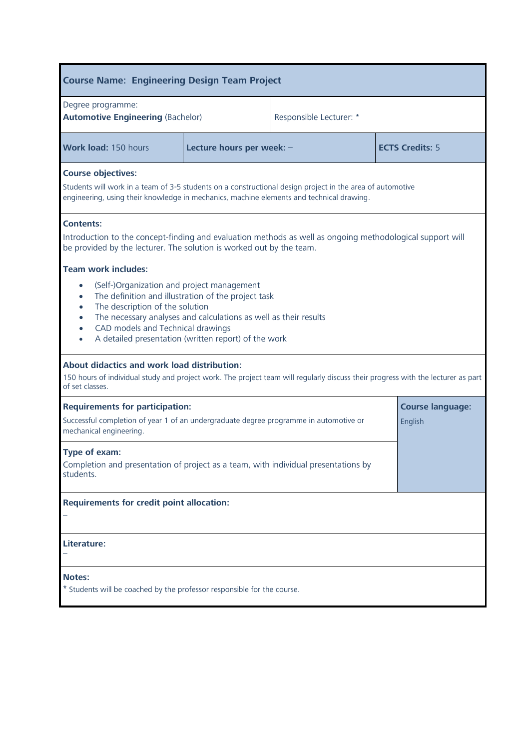| <b>Course Name: Engineering Design Team Project</b>                                                                                                                                                                                                                                                                                                                                                               |                           |                         |                                    |  |
|-------------------------------------------------------------------------------------------------------------------------------------------------------------------------------------------------------------------------------------------------------------------------------------------------------------------------------------------------------------------------------------------------------------------|---------------------------|-------------------------|------------------------------------|--|
| Degree programme:<br><b>Automotive Engineering (Bachelor)</b>                                                                                                                                                                                                                                                                                                                                                     |                           | Responsible Lecturer: * |                                    |  |
| Work load: 150 hours                                                                                                                                                                                                                                                                                                                                                                                              | Lecture hours per week: - |                         | <b>ECTS Credits: 5</b>             |  |
| <b>Course objectives:</b><br>Students will work in a team of 3-5 students on a constructional design project in the area of automotive<br>engineering, using their knowledge in mechanics, machine elements and technical drawing.                                                                                                                                                                                |                           |                         |                                    |  |
| <b>Contents:</b><br>Introduction to the concept-finding and evaluation methods as well as ongoing methodological support will<br>be provided by the lecturer. The solution is worked out by the team.                                                                                                                                                                                                             |                           |                         |                                    |  |
| <b>Team work includes:</b><br>(Self-)Organization and project management<br>$\bullet$<br>The definition and illustration of the project task<br>$\bullet$<br>The description of the solution<br>$\bullet$<br>The necessary analyses and calculations as well as their results<br>$\bullet$<br>CAD models and Technical drawings<br>$\bullet$<br>A detailed presentation (written report) of the work<br>$\bullet$ |                           |                         |                                    |  |
| About didactics and work load distribution:<br>150 hours of individual study and project work. The project team will regularly discuss their progress with the lecturer as part<br>of set classes.                                                                                                                                                                                                                |                           |                         |                                    |  |
| <b>Requirements for participation:</b><br>Successful completion of year 1 of an undergraduate degree programme in automotive or<br>mechanical engineering.                                                                                                                                                                                                                                                        |                           |                         | <b>Course language:</b><br>English |  |
| Type of exam:<br>Completion and presentation of project as a team, with individual presentations by<br>students.                                                                                                                                                                                                                                                                                                  |                           |                         |                                    |  |
| <b>Requirements for credit point allocation:</b>                                                                                                                                                                                                                                                                                                                                                                  |                           |                         |                                    |  |
| Literature:                                                                                                                                                                                                                                                                                                                                                                                                       |                           |                         |                                    |  |
| <b>Notes:</b><br>* Students will be coached by the professor responsible for the course.                                                                                                                                                                                                                                                                                                                          |                           |                         |                                    |  |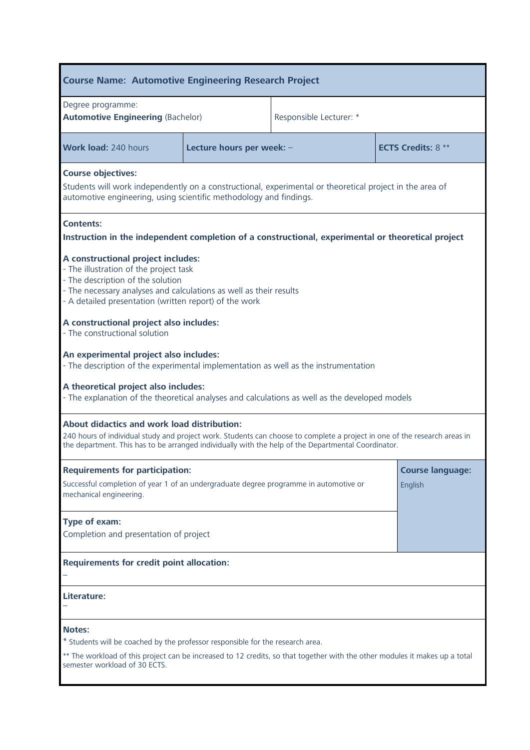| <b>Course Name: Automotive Engineering Research Project</b>                                                                                                                                                                                                                                                                                                                                                                                                                                                                                                                                              |                           |                         |                                    |  |
|----------------------------------------------------------------------------------------------------------------------------------------------------------------------------------------------------------------------------------------------------------------------------------------------------------------------------------------------------------------------------------------------------------------------------------------------------------------------------------------------------------------------------------------------------------------------------------------------------------|---------------------------|-------------------------|------------------------------------|--|
| Degree programme:<br><b>Automotive Engineering (Bachelor)</b>                                                                                                                                                                                                                                                                                                                                                                                                                                                                                                                                            |                           | Responsible Lecturer: * |                                    |  |
| <b>Work load: 240 hours</b>                                                                                                                                                                                                                                                                                                                                                                                                                                                                                                                                                                              | Lecture hours per week: - |                         | <b>ECTS Credits: 8 **</b>          |  |
| <b>Course objectives:</b><br>Students will work independently on a constructional, experimental or theoretical project in the area of<br>automotive engineering, using scientific methodology and findings.                                                                                                                                                                                                                                                                                                                                                                                              |                           |                         |                                    |  |
| <b>Contents:</b><br>Instruction in the independent completion of a constructional, experimental or theoretical project                                                                                                                                                                                                                                                                                                                                                                                                                                                                                   |                           |                         |                                    |  |
| A constructional project includes:<br>- The illustration of the project task<br>- The description of the solution<br>- The necessary analyses and calculations as well as their results<br>- A detailed presentation (written report) of the work<br>A constructional project also includes:<br>- The constructional solution<br>An experimental project also includes:<br>- The description of the experimental implementation as well as the instrumentation<br>A theoretical project also includes:<br>- The explanation of the theoretical analyses and calculations as well as the developed models |                           |                         |                                    |  |
| About didactics and work load distribution:<br>240 hours of individual study and project work. Students can choose to complete a project in one of the research areas in<br>the department. This has to be arranged individually with the help of the Departmental Coordinator.                                                                                                                                                                                                                                                                                                                          |                           |                         |                                    |  |
| <b>Requirements for participation:</b><br>Successful completion of year 1 of an undergraduate degree programme in automotive or<br>mechanical engineering.                                                                                                                                                                                                                                                                                                                                                                                                                                               |                           |                         | <b>Course language:</b><br>English |  |
| Type of exam:<br>Completion and presentation of project                                                                                                                                                                                                                                                                                                                                                                                                                                                                                                                                                  |                           |                         |                                    |  |
| <b>Requirements for credit point allocation:</b>                                                                                                                                                                                                                                                                                                                                                                                                                                                                                                                                                         |                           |                         |                                    |  |
| Literature:                                                                                                                                                                                                                                                                                                                                                                                                                                                                                                                                                                                              |                           |                         |                                    |  |
| <b>Notes:</b><br>* Students will be coached by the professor responsible for the research area.<br>** The workload of this project can be increased to 12 credits, so that together with the other modules it makes up a total<br>semester workload of 30 ECTS.                                                                                                                                                                                                                                                                                                                                          |                           |                         |                                    |  |